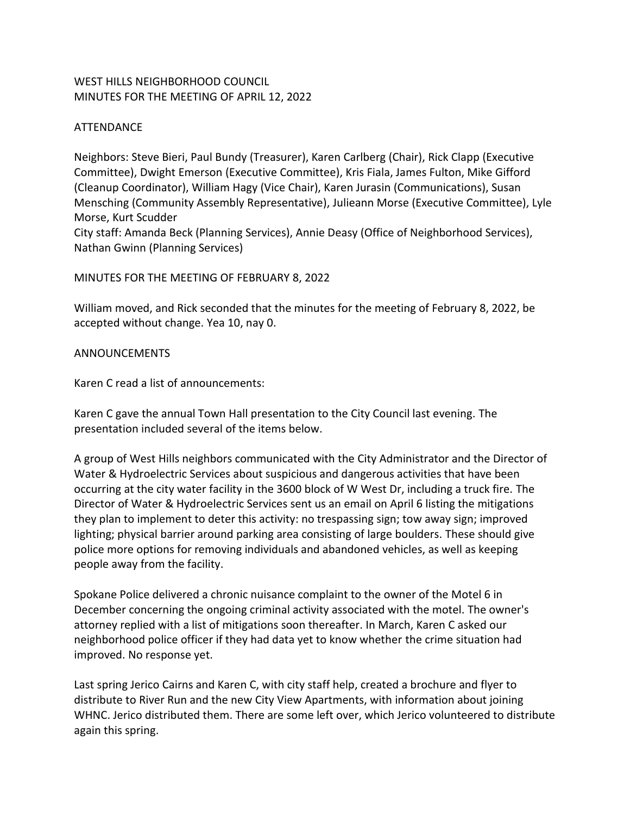# WEST HILLS NEIGHBORHOOD COUNCIL MINUTES FOR THE MEETING OF APRIL 12, 2022

## ATTENDANCE

Neighbors: Steve Bieri, Paul Bundy (Treasurer), Karen Carlberg (Chair), Rick Clapp (Executive Committee), Dwight Emerson (Executive Committee), Kris Fiala, James Fulton, Mike Gifford (Cleanup Coordinator), William Hagy (Vice Chair), Karen Jurasin (Communications), Susan Mensching (Community Assembly Representative), Julieann Morse (Executive Committee), Lyle Morse, Kurt Scudder

City staff: Amanda Beck (Planning Services), Annie Deasy (Office of Neighborhood Services), Nathan Gwinn (Planning Services)

### MINUTES FOR THE MEETING OF FEBRUARY 8, 2022

William moved, and Rick seconded that the minutes for the meeting of February 8, 2022, be accepted without change. Yea 10, nay 0.

### ANNOUNCEMENTS

Karen C read a list of announcements:

Karen C gave the annual Town Hall presentation to the City Council last evening. The presentation included several of the items below.

A group of West Hills neighbors communicated with the City Administrator and the Director of Water & Hydroelectric Services about suspicious and dangerous activities that have been occurring at the city water facility in the 3600 block of W West Dr, including a truck fire. The Director of Water & Hydroelectric Services sent us an email on April 6 listing the mitigations they plan to implement to deter this activity: no trespassing sign; tow away sign; improved lighting; physical barrier around parking area consisting of large boulders. These should give police more options for removing individuals and abandoned vehicles, as well as keeping people away from the facility.

Spokane Police delivered a chronic nuisance complaint to the owner of the Motel 6 in December concerning the ongoing criminal activity associated with the motel. The owner's attorney replied with a list of mitigations soon thereafter. In March, Karen C asked our neighborhood police officer if they had data yet to know whether the crime situation had improved. No response yet.

Last spring Jerico Cairns and Karen C, with city staff help, created a brochure and flyer to distribute to River Run and the new City View Apartments, with information about joining WHNC. Jerico distributed them. There are some left over, which Jerico volunteered to distribute again this spring.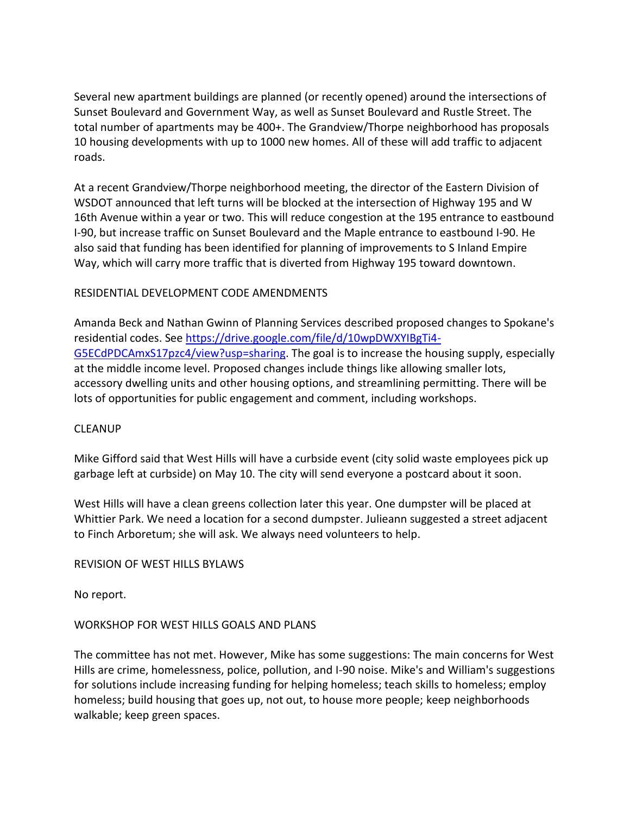Several new apartment buildings are planned (or recently opened) around the intersections of Sunset Boulevard and Government Way, as well as Sunset Boulevard and Rustle Street. The total number of apartments may be 400+. The Grandview/Thorpe neighborhood has proposals 10 housing developments with up to 1000 new homes. All of these will add traffic to adjacent roads.

At a recent Grandview/Thorpe neighborhood meeting, the director of the Eastern Division of WSDOT announced that left turns will be blocked at the intersection of Highway 195 and W 16th Avenue within a year or two. This will reduce congestion at the 195 entrance to eastbound I-90, but increase traffic on Sunset Boulevard and the Maple entrance to eastbound I-90. He also said that funding has been identified for planning of improvements to S Inland Empire Way, which will carry more traffic that is diverted from Highway 195 toward downtown.

### RESIDENTIAL DEVELOPMENT CODE AMENDMENTS

Amanda Beck and Nathan Gwinn of Planning Services described proposed changes to Spokane's residential codes. See [https://drive.google.com/file/d/10wpDWXYIBgTi4-](https://drive.google.com/file/d/10wpDWXYIBgTi4-G5ECdPDCAmxS17pzc4/view?usp=sharing) [G5ECdPDCAmxS17pzc4/view?usp=sharing.](https://drive.google.com/file/d/10wpDWXYIBgTi4-G5ECdPDCAmxS17pzc4/view?usp=sharing) The goal is to increase the housing supply, especially at the middle income level. Proposed changes include things like allowing smaller lots, accessory dwelling units and other housing options, and streamlining permitting. There will be lots of opportunities for public engagement and comment, including workshops.

### CLEANUP

Mike Gifford said that West Hills will have a curbside event (city solid waste employees pick up garbage left at curbside) on May 10. The city will send everyone a postcard about it soon.

West Hills will have a clean greens collection later this year. One dumpster will be placed at Whittier Park. We need a location for a second dumpster. Julieann suggested a street adjacent to Finch Arboretum; she will ask. We always need volunteers to help.

### REVISION OF WEST HILLS BYLAWS

No report.

### WORKSHOP FOR WEST HILLS GOALS AND PLANS

The committee has not met. However, Mike has some suggestions: The main concerns for West Hills are crime, homelessness, police, pollution, and I-90 noise. Mike's and William's suggestions for solutions include increasing funding for helping homeless; teach skills to homeless; employ homeless; build housing that goes up, not out, to house more people; keep neighborhoods walkable; keep green spaces.